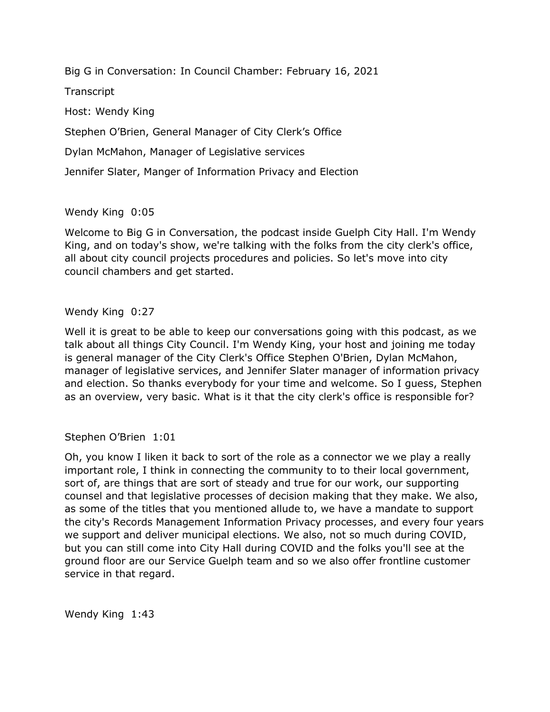Big G in Conversation: In Council Chamber: February 16, 2021

**Transcript** 

Host: Wendy King

Stephen O'Brien, General Manager of City Clerk's Office

Dylan McMahon, Manager of Legislative services

Jennifer Slater, Manger of Information Privacy and Election

# Wendy King 0:05

 Welcome to Big G in Conversation, the podcast inside Guelph City Hall. I'm Wendy King, and on today's show, we're talking with the folks from the city clerk's office, all about city council projects procedures and policies. So let's move into city council chambers and get started.

# Wendy King 0:27

 Well it is great to be able to keep our conversations going with this podcast, as we talk about all things City Council. I'm Wendy King, your host and joining me today is general manager of the City Clerk's Office Stephen O'Brien, Dylan McMahon, manager of legislative services, and Jennifer Slater manager of information privacy and election. So thanks everybody for your time and welcome. So I guess, Stephen as an overview, very basic. What is it that the city clerk's office is responsible for?

Stephen O'Brien 1:01

 Oh, you know I liken it back to sort of the role as a connector we we play a really important role, I think in connecting the community to to their local government, sort of, are things that are sort of steady and true for our work, our supporting counsel and that legislative processes of decision making that they make. We also, the city's Records Management Information Privacy processes, and every four years we support and deliver municipal elections. We also, not so much during COVID, but you can still come into City Hall during COVID and the folks you'll see at the ground floor are our Service Guelph team and so we also offer frontline customer as some of the titles that you mentioned allude to, we have a mandate to support service in that regard.

Wendy King 1:43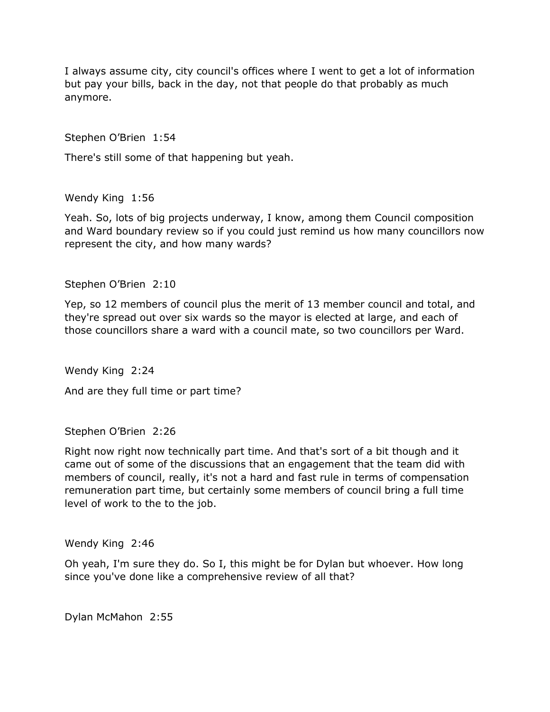I always assume city, city council's offices where I went to get a lot of information but pay your bills, back in the day, not that people do that probably as much anymore.

Stephen O'Brien 1:54

There's still some of that happening but yeah.

Wendy King 1:56

 Yeah. So, lots of big projects underway, I know, among them Council composition and Ward boundary review so if you could just remind us how many councillors now represent the city, and how many wards?

Stephen O'Brien 2:10

 Yep, so 12 members of council plus the merit of 13 member council and total, and they're spread out over six wards so the mayor is elected at large, and each of those councillors share a ward with a council mate, so two councillors per Ward.

Wendy King 2:24

And are they full time or part time?

Stephen O'Brien 2:26

 Right now right now technically part time. And that's sort of a bit though and it came out of some of the discussions that an engagement that the team did with members of council, really, it's not a hard and fast rule in terms of compensation remuneration part time, but certainly some members of council bring a full time level of work to the to the job.

Wendy King 2:46

 Oh yeah, I'm sure they do. So I, this might be for Dylan but whoever. How long since you've done like a comprehensive review of all that?

Dylan McMahon 2:55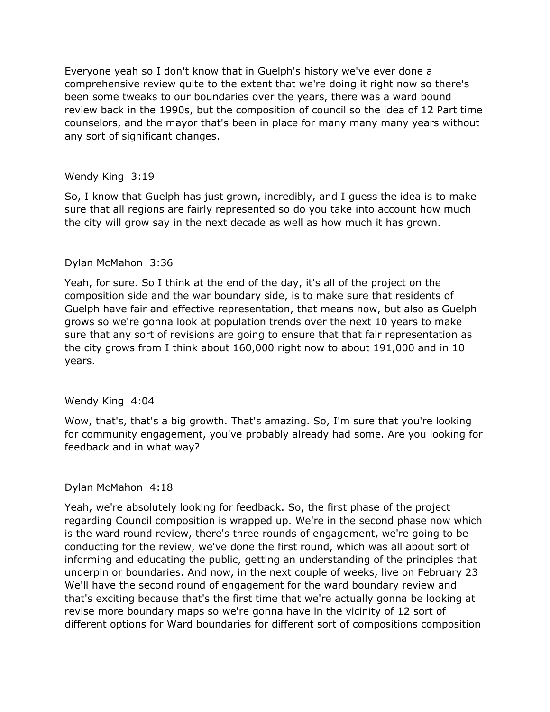comprehensive review quite to the extent that we're doing it right now so there's been some tweaks to our boundaries over the years, there was a ward bound review back in the 1990s, but the composition of council so the idea of 12 Part time counselors, and the mayor that's been in place for many many many years without any sort of significant changes. Everyone yeah so I don't know that in Guelph's history we've ever done a

## Wendy King 3:19

 So, I know that Guelph has just grown, incredibly, and I guess the idea is to make sure that all regions are fairly represented so do you take into account how much the city will grow say in the next decade as well as how much it has grown.

## Dylan McMahon 3:36

 Yeah, for sure. So I think at the end of the day, it's all of the project on the composition side and the war boundary side, is to make sure that residents of Guelph have fair and effective representation, that means now, but also as Guelph grows so we're gonna look at population trends over the next 10 years to make sure that any sort of revisions are going to ensure that that fair representation as the city grows from I think about 160,000 right now to about 191,000 and in 10 years.

### Wendy King 4:04

 Wow, that's, that's a big growth. That's amazing. So, I'm sure that you're looking for community engagement, you've probably already had some. Are you looking for feedback and in what way?

### Dylan McMahon 4:18

 Yeah, we're absolutely looking for feedback. So, the first phase of the project regarding Council composition is wrapped up. We're in the second phase now which is the ward round review, there's three rounds of engagement, we're going to be conducting for the review, we've done the first round, which was all about sort of informing and educating the public, getting an understanding of the principles that underpin or boundaries. And now, in the next couple of weeks, live on February 23 We'll have the second round of engagement for the ward boundary review and that's exciting because that's the first time that we're actually gonna be looking at revise more boundary maps so we're gonna have in the vicinity of 12 sort of different options for Ward boundaries for different sort of compositions composition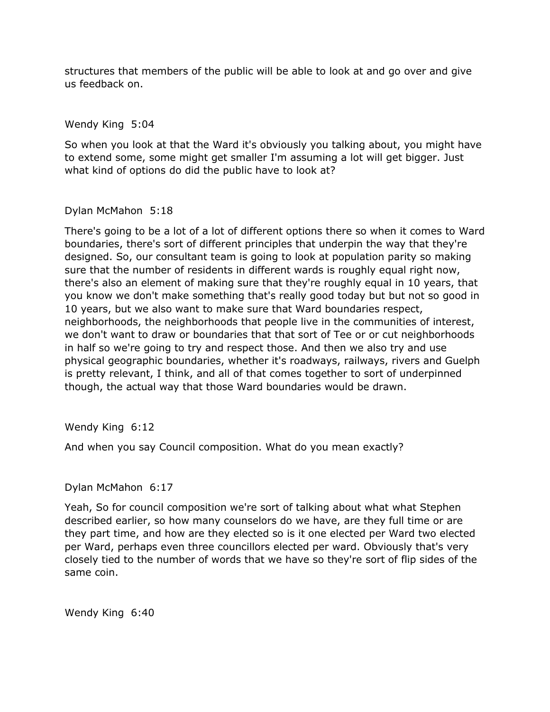structures that members of the public will be able to look at and go over and give us feedback on.

Wendy King 5:04

 So when you look at that the Ward it's obviously you talking about, you might have to extend some, some might get smaller I'm assuming a lot will get bigger. Just what kind of options do did the public have to look at?

## Dylan McMahon 5:18

 There's going to be a lot of a lot of different options there so when it comes to Ward boundaries, there's sort of different principles that underpin the way that they're designed. So, our consultant team is going to look at population parity so making sure that the number of residents in different wards is roughly equal right now, there's also an element of making sure that they're roughly equal in 10 years, that you know we don't make something that's really good today but but not so good in 10 years, but we also want to make sure that Ward boundaries respect, neighborhoods, the neighborhoods that people live in the communities of interest, we don't want to draw or boundaries that that sort of Tee or or cut neighborhoods in half so we're going to try and respect those. And then we also try and use physical geographic boundaries, whether it's roadways, railways, rivers and Guelph is pretty relevant, I think, and all of that comes together to sort of underpinned though, the actual way that those Ward boundaries would be drawn.

Wendy King 6:12

And when you say Council composition. What do you mean exactly?

# Dylan McMahon 6:17

 Yeah, So for council composition we're sort of talking about what what Stephen described earlier, so how many counselors do we have, are they full time or are they part time, and how are they elected so is it one elected per Ward two elected per Ward, perhaps even three councillors elected per ward. Obviously that's very closely tied to the number of words that we have so they're sort of flip sides of the same coin.

Wendy King 6:40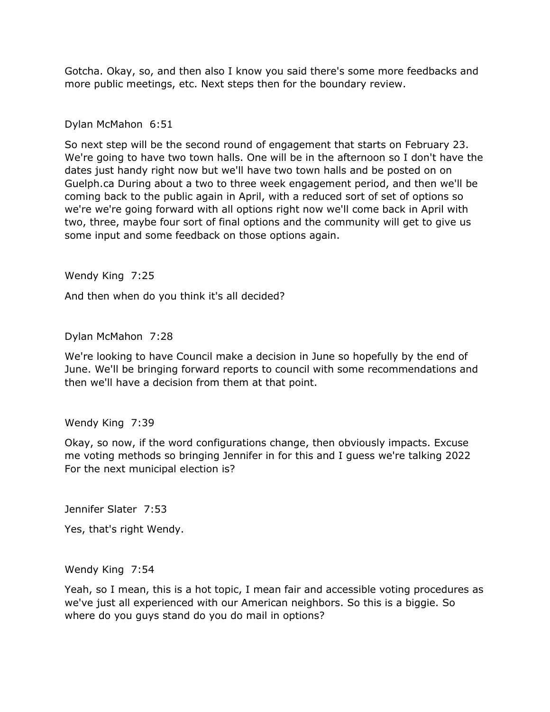Gotcha. Okay, so, and then also I know you said there's some more feedbacks and more public meetings, etc. Next steps then for the boundary review.

## Dylan McMahon 6:51

 So next step will be the second round of engagement that starts on February 23. dates just handy right now but we'll have two town halls and be posted on on [Guelph.ca](https://Guelph.ca) During about a two to three week engagement period, and then we'll be coming back to the public again in April, with a reduced sort of set of options so we're we're going forward with all options right now we'll come back in April with two, three, maybe four sort of final options and the community will get to give us some input and some feedback on those options again. We're going to have two town halls. One will be in the afternoon so I don't have the

Wendy King 7:25

And then when do you think it's all decided?

Dylan McMahon 7:28

 We're looking to have Council make a decision in June so hopefully by the end of June. We'll be bringing forward reports to council with some recommendations and then we'll have a decision from them at that point.

### Wendy King 7:39

 Okay, so now, if the word configurations change, then obviously impacts. Excuse me voting methods so bringing Jennifer in for this and I guess we're talking 2022 For the next municipal election is?

Jennifer Slater 7:53

Yes, that's right Wendy.

Wendy King 7:54

 Yeah, so I mean, this is a hot topic, I mean fair and accessible voting procedures as we've just all experienced with our American neighbors. So this is a biggie. So where do you guys stand do you do mail in options?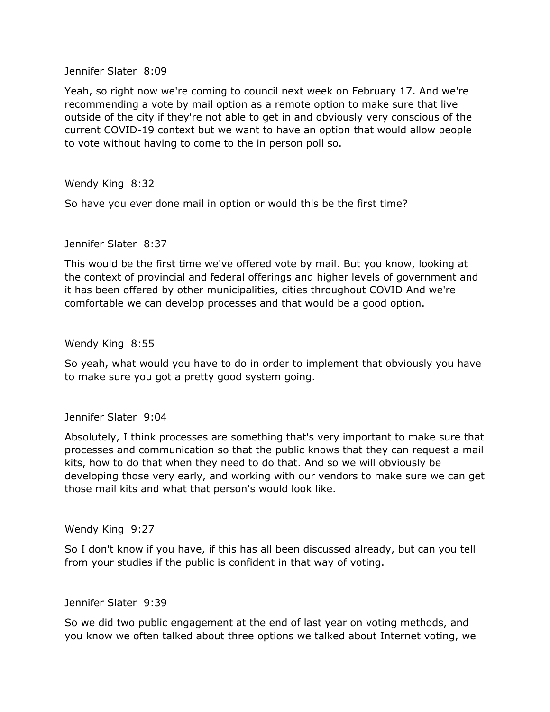Jennifer Slater 8:09

 Yeah, so right now we're coming to council next week on February 17. And we're recommending a vote by mail option as a remote option to make sure that live outside of the city if they're not able to get in and obviously very conscious of the current COVID-19 context but we want to have an option that would allow people to vote without having to come to the in person poll so.

Wendy King 8:32

So have you ever done mail in option or would this be the first time?

#### Jennifer Slater 8:37

 This would be the first time we've offered vote by mail. But you know, looking at the context of provincial and federal offerings and higher levels of government and it has been offered by other municipalities, cities throughout COVID And we're comfortable we can develop processes and that would be a good option.

#### Wendy King 8:55

 to make sure you got a pretty good system going. So yeah, what would you have to do in order to implement that obviously you have

#### Jennifer Slater 9:04

Jennifer Slater 9:04<br>Absolutely, I think processes are something that's very important to make sure that processes and communication so that the public knows that they can request a mail kits, how to do that when they need to do that. And so we will obviously be developing those very early, and working with our vendors to make sure we can get those mail kits and what that person's would look like.

Wendy King 9:27

 So I don't know if you have, if this has all been discussed already, but can you tell from your studies if the public is confident in that way of voting.

Jennifer Slater 9:39

 So we did two public engagement at the end of last year on voting methods, and you know we often talked about three options we talked about Internet voting, we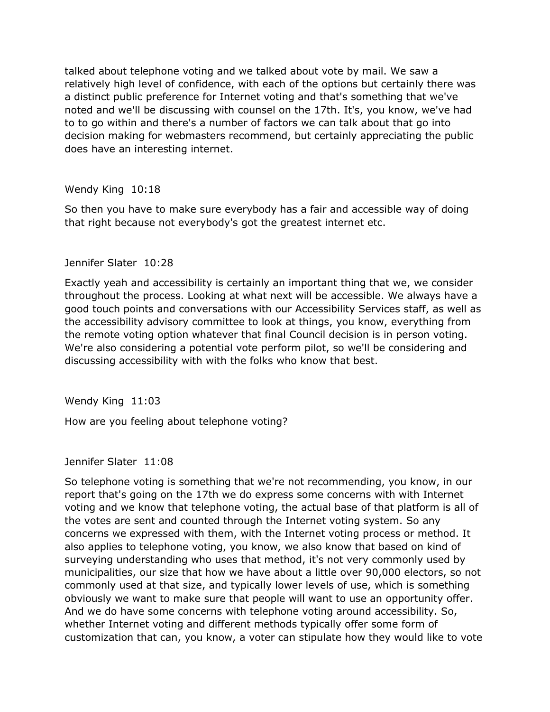talked about telephone voting and we talked about vote by mail. We saw a relatively high level of confidence, with each of the options but certainly there was a distinct public preference for Internet voting and that's something that we've noted and we'll be discussing with counsel on the 17th. It's, you know, we've had to to go within and there's a number of factors we can talk about that go into decision making for webmasters recommend, but certainly appreciating the public does have an interesting internet.

### Wendy King 10:18

 So then you have to make sure everybody has a fair and accessible way of doing that right because not everybody's got the greatest internet etc.

### Jennifer Slater 10:28

 Exactly yeah and accessibility is certainly an important thing that we, we consider throughout the process. Looking at what next will be accessible. We always have a good touch points and conversations with our Accessibility Services staff, as well as the accessibility advisory committee to look at things, you know, everything from We're also considering a potential vote perform pilot, so we'll be considering and discussing accessibility with with the folks who know that best. the remote voting option whatever that final Council decision is in person voting.

Wendy King 11:03

How are you feeling about telephone voting?

Jennifer Slater 11:08

 So telephone voting is something that we're not recommending, you know, in our report that's going on the 17th we do express some concerns with with Internet voting and we know that telephone voting, the actual base of that platform is all of the votes are sent and counted through the Internet voting system. So any concerns we expressed with them, with the Internet voting process or method. It surveying understanding who uses that method, it's not very commonly used by municipalities, our size that how we have about a little over 90,000 electors, so not commonly used at that size, and typically lower levels of use, which is something obviously we want to make sure that people will want to use an opportunity offer. And we do have some concerns with telephone voting around accessibility. So, whether Internet voting and different methods typically offer some form of customization that can, you know, a voter can stipulate how they would like to vote also applies to telephone voting, you know, we also know that based on kind of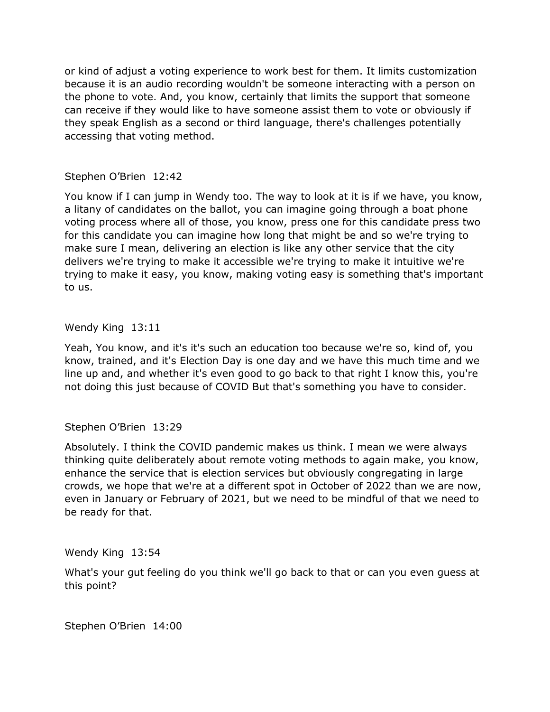or kind of adjust a voting experience to work best for them. It limits customization because it is an audio recording wouldn't be someone interacting with a person on the phone to vote. And, you know, certainly that limits the support that someone can receive if they would like to have someone assist them to vote or obviously if they speak English as a second or third language, there's challenges potentially accessing that voting method.

# Stephen O'Brien 12:42

 You know if I can jump in Wendy too. The way to look at it is if we have, you know, a litany of candidates on the ballot, you can imagine going through a boat phone for this candidate you can imagine how long that might be and so we're trying to make sure I mean, delivering an election is like any other service that the city trying to make it easy, you know, making voting easy is something that's important voting process where all of those, you know, press one for this candidate press two delivers we're trying to make it accessible we're trying to make it intuitive we're to us.

# Wendy King 13:11

 Yeah, You know, and it's it's such an education too because we're so, kind of, you know, trained, and it's Election Day is one day and we have this much time and we line up and, and whether it's even good to go back to that right I know this, you're not doing this just because of COVID But that's something you have to consider.

# Stephen O'Brien 13:29

 Absolutely. I think the COVID pandemic makes us think. I mean we were always thinking quite deliberately about remote voting methods to again make, you know, enhance the service that is election services but obviously congregating in large crowds, we hope that we're at a different spot in October of 2022 than we are now, even in January or February of 2021, but we need to be mindful of that we need to be ready for that.

Wendy King 13:54

 What's your gut feeling do you think we'll go back to that or can you even guess at this point?

Stephen O'Brien 14:00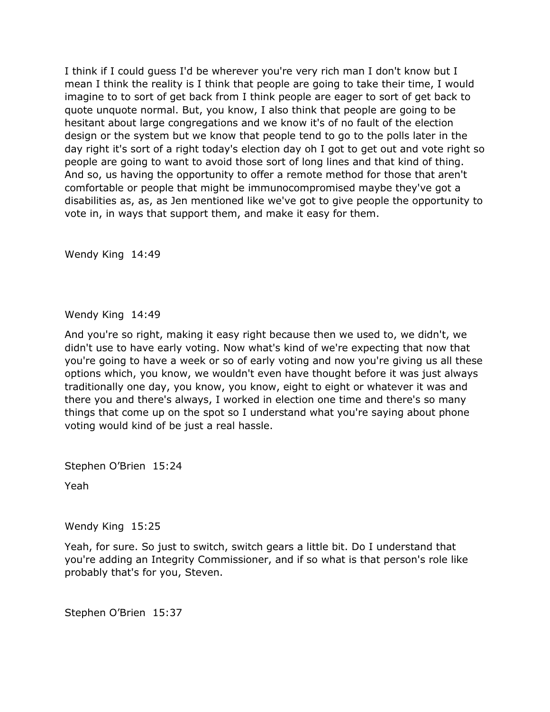I think if I could guess I'd be wherever you're very rich man I don't know but I mean I think the reality is I think that people are going to take their time, I would imagine to to sort of get back from I think people are eager to sort of get back to hesitant about large congregations and we know it's of no fault of the election design or the system but we know that people tend to go to the polls later in the day right it's sort of a right today's election day oh I got to get out and vote right so people are going to want to avoid those sort of long lines and that kind of thing. And so, us having the opportunity to offer a remote method for those that aren't comfortable or people that might be immunocompromised maybe they've got a disabilities as, as, as Jen mentioned like we've got to give people the opportunity to vote in, in ways that support them, and make it easy for them. quote unquote normal. But, you know, I also think that people are going to be

Wendy King 14:49

Wendy King 14:49

 And you're so right, making it easy right because then we used to, we didn't, we didn't use to have early voting. Now what's kind of we're expecting that now that you're going to have a week or so of early voting and now you're giving us all these options which, you know, we wouldn't even have thought before it was just always traditionally one day, you know, you know, eight to eight or whatever it was and there you and there's always, I worked in election one time and there's so many things that come up on the spot so I understand what you're saying about phone voting would kind of be just a real hassle.

Stephen O'Brien 15:24

Yeah

Wendy King 15:25

 Yeah, for sure. So just to switch, switch gears a little bit. Do I understand that you're adding an Integrity Commissioner, and if so what is that person's role like probably that's for you, Steven.

Stephen O'Brien 15:37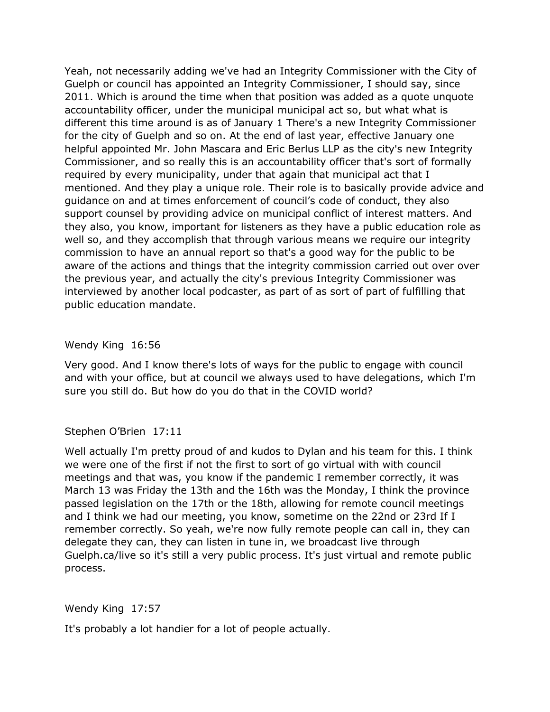Yeah, not necessarily adding we've had an Integrity Commissioner with the City of Guelph or council has appointed an Integrity Commissioner, I should say, since 2011. Which is around the time when that position was added as a quote unquote accountability officer, under the municipal municipal act so, but what what is different this time around is as of January 1 There's a new Integrity Commissioner for the city of Guelph and so on. At the end of last year, effective January one helpful appointed Mr. John Mascara and Eric Berlus LLP as the city's new Integrity Commissioner, and so really this is an accountability officer that's sort of formally required by every municipality, under that again that municipal act that I mentioned. And they play a unique role. Their role is to basically provide advice and guidance on and at times enforcement of council's code of conduct, they also support counsel by providing advice on municipal conflict of interest matters. And they also, you know, important for listeners as they have a public education role as well so, and they accomplish that through various means we require our integrity commission to have an annual report so that's a good way for the public to be the previous year, and actually the city's previous Integrity Commissioner was interviewed by another local podcaster, as part of as sort of part of fulfilling that aware of the actions and things that the integrity commission carried out over over public education mandate.

Wendy King 16:56

 Very good. And I know there's lots of ways for the public to engage with council and with your office, but at council we always used to have delegations, which I'm sure you still do. But how do you do that in the COVID world?

Stephen O'Brien 17:11

 Well actually I'm pretty proud of and kudos to Dylan and his team for this. I think we were one of the first if not the first to sort of go virtual with with council meetings and that was, you know if the pandemic I remember correctly, it was March 13 was Friday the 13th and the 16th was the Monday, I think the province passed legislation on the 17th or the 18th, allowing for remote council meetings and I think we had our meeting, you know, sometime on the 22nd or 23rd If I remember correctly. So yeah, we're now fully remote people can call in, they can delegate they can, they can listen in tune in, we broadcast live through Guelph.ca/live so it's still a very public process. It's just virtual and remote public process.

Wendy King 17:57

It's probably a lot handier for a lot of people actually.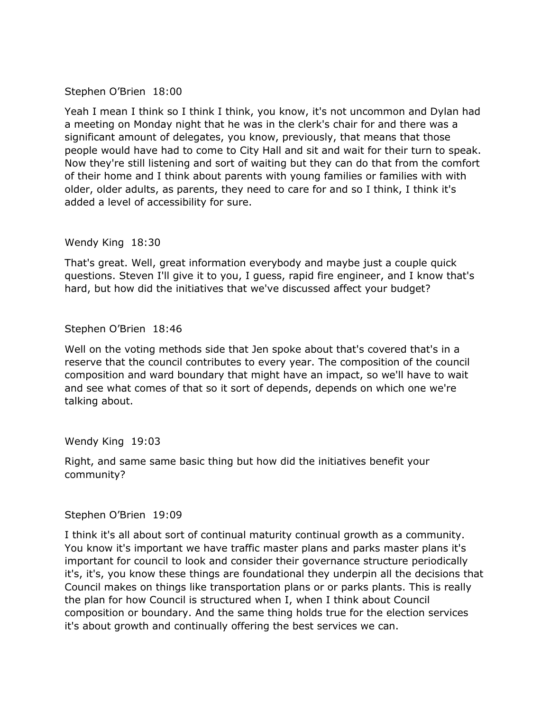Stephen O'Brien 18:00

 Yeah I mean I think so I think I think, you know, it's not uncommon and Dylan had a meeting on Monday night that he was in the clerk's chair for and there was a people would have had to come to City Hall and sit and wait for their turn to speak. Now they're still listening and sort of waiting but they can do that from the comfort of their home and I think about parents with young families or families with with older, older adults, as parents, they need to care for and so I think, I think it's significant amount of delegates, you know, previously, that means that those added a level of accessibility for sure.

Wendy King 18:30

 That's great. Well, great information everybody and maybe just a couple quick questions. Steven I'll give it to you, I guess, rapid fire engineer, and I know that's hard, but how did the initiatives that we've discussed affect your budget?

Stephen O'Brien 18:46

Well on the voting methods side that Jen spoke about that's covered that's in a Well on the voting methods side that Jen spoke about that's covered that's in a<br>reserve that the council contributes to every year. The composition of the council composition and ward boundary that might have an impact, so we'll have to wait and see what comes of that so it sort of depends, depends on which one we're talking about.

Wendy King 19:03

 Right, and same same basic thing but how did the initiatives benefit your community?

### Stephen O'Brien 19:09

 I think it's all about sort of continual maturity continual growth as a community. You know it's important we have traffic master plans and parks master plans it's important for council to look and consider their governance structure periodically it's, it's, you know these things are foundational they underpin all the decisions that the plan for how Council is structured when I, when I think about Council composition or boundary. And the same thing holds true for the election services it's about growth and continually offering the best services we can. Council makes on things like transportation plans or or parks plants. This is really